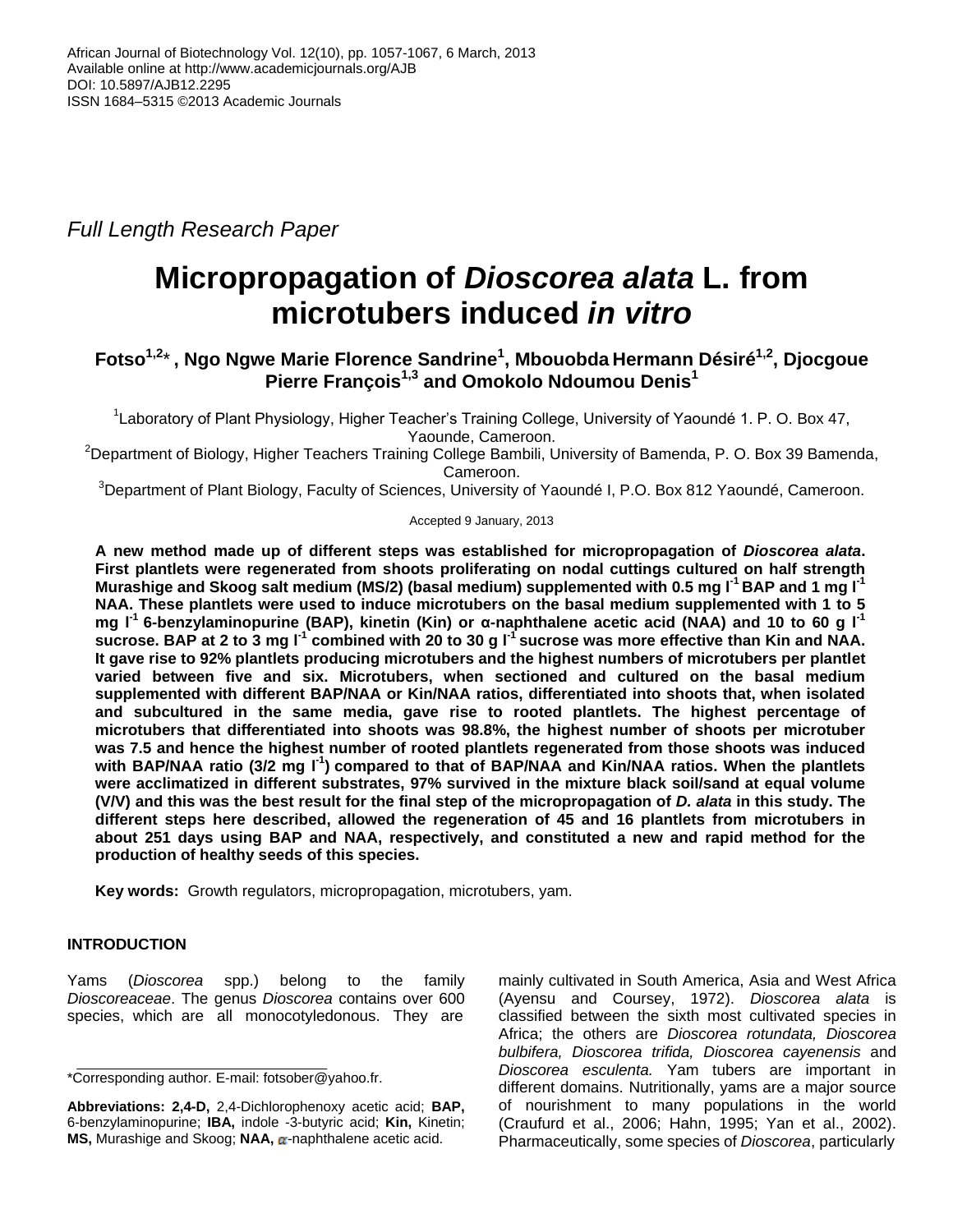*Full Length Research Paper*

# **Micropropagation of** *Dioscorea alata* **L. from microtubers induced** *in vitro*

# **Fotso1,2**\***, Ngo Ngwe Marie Florence Sandrine<sup>1</sup> , Mbouobda Hermann Désiré1,2 , Djocgoue Pierre François1,3 and Omokolo Ndoumou Denis<sup>1</sup>**

<sup>1</sup> Laboratory of Plant Physiology, Higher Teacher's Training College, University of Yaoundé 1. P. O. Box 47, Yaounde, Cameroon.

<sup>2</sup>Department of Biology, Higher Teachers Training College Bambili, University of Bamenda, P. O. Box 39 Bamenda, Cameroon.

<sup>3</sup>Department of Plant Biology, Faculty of Sciences, University of Yaoundé I, P.O. Box 812 Yaoundé, Cameroon.

## Accepted 9 January, 2013

**A new method made up of different steps was established for micropropagation of** *Dioscorea alata***. First plantlets were regenerated from shoots proliferating on nodal cuttings cultured on half strength Murashige and Skoog salt medium (MS/2) (basal medium) supplemented with 0.5 mg l-1 BAP and 1 mg l-1 NAA. These plantlets were used to induce microtubers on the basal medium supplemented with 1 to 5 mg l-1 6-benzylaminopurine (BAP), kinetin (Kin) or α-naphthalene acetic acid (NAA) and 10 to 60 g l-1**  sucrose. BAP at 2 to 3 mg l<sup>-1</sup> combined with 20 to 30 g l<sup>-1</sup> sucrose was more effective than Kin and NAA. **It gave rise to 92% plantlets producing microtubers and the highest numbers of microtubers per plantlet varied between five and six. Microtubers, when sectioned and cultured on the basal medium supplemented with different BAP/NAA or Kin/NAA ratios, differentiated into shoots that, when isolated and subcultured in the same media, gave rise to rooted plantlets. The highest percentage of microtubers that differentiated into shoots was 98.8%, the highest number of shoots per microtuber was 7.5 and hence the highest number of rooted plantlets regenerated from those shoots was induced**  with BAP/NAA ratio (3/2 mg I<sup>-1</sup>) compared to that of BAP/NAA and Kin/NAA ratios. When the plantlets **were acclimatized in different substrates, 97% survived in the mixture black soil/sand at equal volume (V/V) and this was the best result for the final step of the micropropagation of** *D. alata* **in this study. The different steps here described, allowed the regeneration of 45 and 16 plantlets from microtubers in about 251 days using BAP and NAA, respectively, and constituted a new and rapid method for the production of healthy seeds of this species.**

**Key words:** Growth regulators, micropropagation, microtubers, yam.

# **INTRODUCTION**

Yams (*Dioscorea* spp.) belong to the family *Dioscoreaceae*. The genus *Dioscorea* contains over 600 species, which are all monocotyledonous. They are

mainly cultivated in South America, Asia and West Africa (Ayensu and Coursey, 1972). *Dioscorea alata* is classified between the sixth most cultivated species in Africa; the others are *Dioscorea rotundata, Dioscorea bulbifera, Dioscorea trifida, Dioscorea cayenensis* and *Dioscorea esculenta.* Yam tubers are important in different domains. Nutritionally, yams are a major source of nourishment to many populations in the world (Craufurd et al., 2006; Hahn, 1995; Yan et al., 2002). Pharmaceutically, some species of *Dioscorea*, particularly

<sup>\*</sup>Corresponding author. E-mail: [fotsober@yahoo.fr.](mailto:fotsober@yahoo.fr)

**Abbreviations: 2,4-D,** 2,4-Dichlorophenoxy acetic acid; **BAP,** 6-benzylaminopurine; **IBA,** indole -3-butyric acid; **Kin,** Kinetin; MS, Murashige and Skoog; NAA, a-naphthalene acetic acid.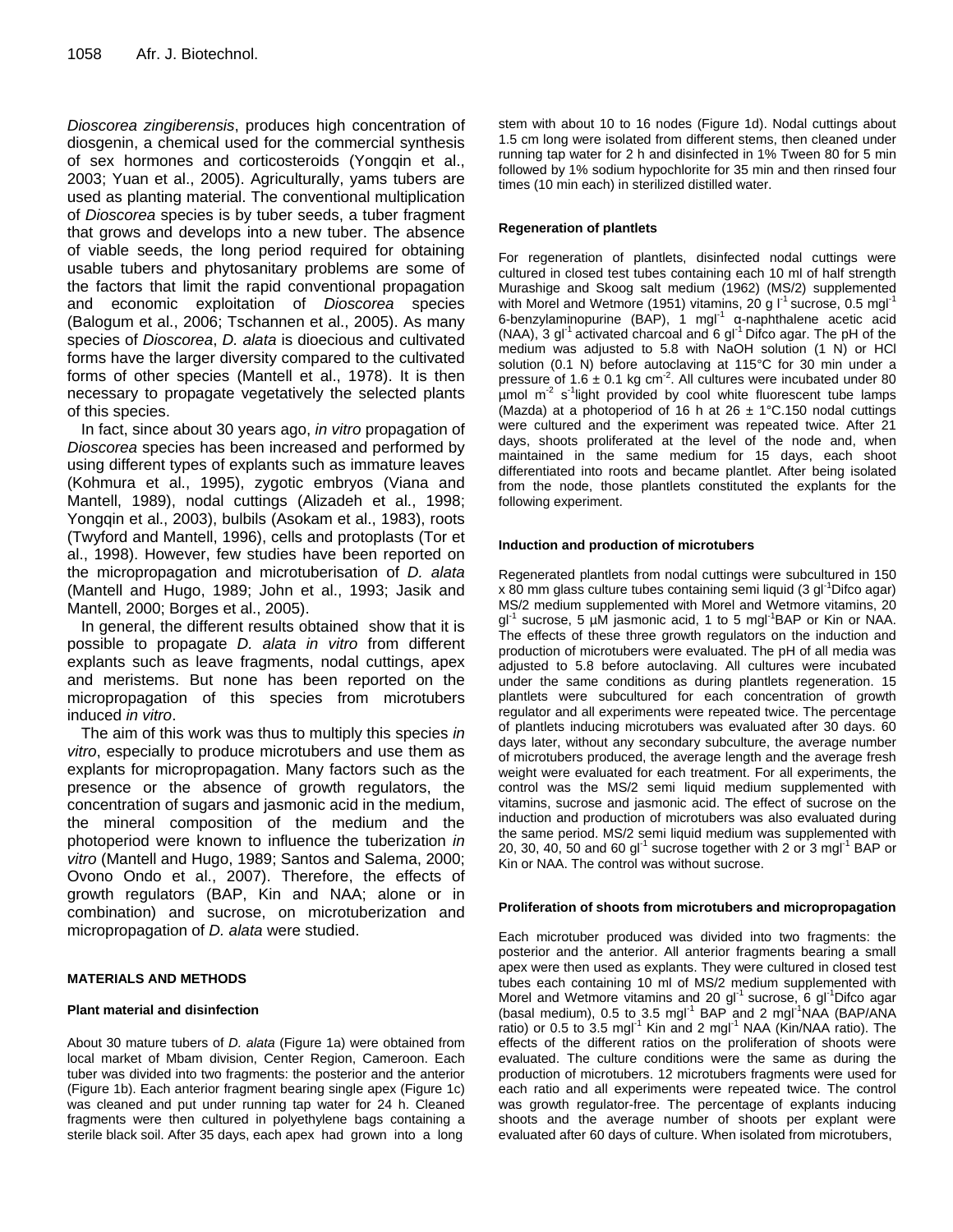*Dioscorea zingiberensis*, produces high concentration of diosgenin, a chemical used for the commercial synthesis of sex hormones and corticosteroids (Yongqin et al., 2003; Yuan et al., 2005). Agriculturally, yams tubers are used as planting material. The conventional multiplication of *Dioscorea* species is by tuber seeds, a tuber fragment that grows and develops into a new tuber. The absence of viable seeds, the long period required for obtaining usable tubers and phytosanitary problems are some of the factors that limit the rapid conventional propagation and economic exploitation of *Dioscorea* species (Balogum et al., 2006; Tschannen et al., 2005). As many species of *Dioscorea*, *D. alata* is dioecious and cultivated forms have the larger diversity compared to the cultivated forms of other species (Mantell et al., 1978). It is then necessary to propagate vegetatively the selected plants of this species.

In fact, since about 30 years ago, *in vitro* propagation of *Dioscorea* species has been increased and performed by using different types of explants such as immature leaves (Kohmura et al., 1995), zygotic embryos (Viana and Mantell, 1989), nodal cuttings (Alizadeh et al., 1998; Yongqin et al., 2003), bulbils (Asokam et al., 1983), roots (Twyford and Mantell, 1996), cells and protoplasts (Tor et al., 1998). However, few studies have been reported on the micropropagation and microtuberisation of *D. alata* (Mantell and Hugo, 1989; John et al., 1993; Jasik and Mantell, 2000; Borges et al., 2005).

In general, the different results obtained show that it is possible to propagate *D. alata in vitro* from different explants such as leave fragments, nodal cuttings, apex and meristems. But none has been reported on the micropropagation of this species from microtubers induced *in vitro*.

The aim of this work was thus to multiply this species *in vitro*, especially to produce microtubers and use them as explants for micropropagation. Many factors such as the presence or the absence of growth regulators, the concentration of sugars and jasmonic acid in the medium, the mineral composition of the medium and the photoperiod were known to influence the tuberization *in vitro* (Mantell and Hugo, 1989; Santos and Salema, 2000; Ovono Ondo et al., 2007). Therefore, the effects of growth regulators (BAP, Kin and NAA; alone or in combination) and sucrose, on microtuberization and micropropagation of *D. alata* were studied.

#### **MATERIALS AND METHODS**

#### **Plant material and disinfection**

About 30 mature tubers of *D. alata* (Figure 1a) were obtained from local market of Mbam division, Center Region, Cameroon. Each tuber was divided into two fragments: the posterior and the anterior (Figure 1b). Each anterior fragment bearing single apex (Figure 1c) was cleaned and put under running tap water for 24 h. Cleaned fragments were then cultured in polyethylene bags containing a sterile black soil. After 35 days, each apex had grown into a long

stem with about 10 to 16 nodes (Figure 1d). Nodal cuttings about 1.5 cm long were isolated from different stems, then cleaned under running tap water for 2 h and disinfected in 1% Tween 80 for 5 min followed by 1% sodium hypochlorite for 35 min and then rinsed four times (10 min each) in sterilized distilled water.

#### **Regeneration of plantlets**

For regeneration of plantlets, disinfected nodal cuttings were cultured in closed test tubes containing each 10 ml of half strength Murashige and Skoog salt medium (1962) (MS/2) supplemented with Morel and Wetmore (1951) vitamins, 20 g  $I<sup>1</sup>$  sucrose, 0.5 mgl<sup>-1</sup> 6-benzylaminopurine (BAP), 1 mgl<sup>-1</sup> α-naphthalene acetic acid (NAA), 3  $gt^{-1}$  activated charcoal and 6  $gt^{-1}$  Difco agar. The pH of the medium was adjusted to 5.8 with NaOH solution (1 N) or HCl solution (0.1 N) before autoclaving at 115°C for 30 min under a pressure of 1.6  $\pm$  0.1 kg cm<sup>-2</sup>. All cultures were incubated under 80 umol m<sup>-2</sup> s<sup>-1</sup>light provided by cool white fluorescent tube lamps (Mazda) at a photoperiod of 16 h at 26  $\pm$  1°C.150 nodal cuttings were cultured and the experiment was repeated twice. After 21 days, shoots proliferated at the level of the node and, when maintained in the same medium for 15 days, each shoot differentiated into roots and became plantlet. After being isolated from the node, those plantlets constituted the explants for the following experiment.

#### **Induction and production of microtubers**

Regenerated plantlets from nodal cuttings were subcultured in 150 x 80 mm glass culture tubes containing semi liquid (3 gl<sup>-1</sup>Difco agar) MS/2 medium supplemented with Morel and Wetmore vitamins, 20 gl<sup>-1</sup> sucrose, 5 µM jasmonic acid, 1 to 5 mgl<sup>-1</sup>BAP or Kin or NAA. The effects of these three growth regulators on the induction and production of microtubers were evaluated. The pH of all media was adjusted to 5.8 before autoclaving. All cultures were incubated under the same conditions as during plantlets regeneration. 15 plantlets were subcultured for each concentration of growth regulator and all experiments were repeated twice. The percentage of plantlets inducing microtubers was evaluated after 30 days. 60 days later, without any secondary subculture, the average number of microtubers produced, the average length and the average fresh weight were evaluated for each treatment. For all experiments, the control was the MS/2 semi liquid medium supplemented with vitamins, sucrose and jasmonic acid. The effect of sucrose on the induction and production of microtubers was also evaluated during the same period. MS/2 semi liquid medium was supplemented with 20, 30, 40, 50 and 60 gl<sup>-1</sup> sucrose together with 2 or 3 mgl<sup>-1</sup> BAP or Kin or NAA. The control was without sucrose.

#### **Proliferation of shoots from microtubers and micropropagation**

Each microtuber produced was divided into two fragments: the posterior and the anterior. All anterior fragments bearing a small apex were then used as explants. They were cultured in closed test tubes each containing 10 ml of MS/2 medium supplemented with Morel and Wetmore vitamins and 20  $qI^{-1}$  sucrose, 6  $qI^{-1}$ Difco agar (basal medium), 0.5 to 3.5 mgl<sup>-1</sup> BAP and 2 mgl<sup>-1</sup>NAA (BAP/ANA ratio) or 0.5 to 3.5 mgl<sup>-1</sup> Kin and 2 mgl<sup>-1</sup> NAA (Kin/NAA ratio). The effects of the different ratios on the proliferation of shoots were evaluated. The culture conditions were the same as during the production of microtubers. 12 microtubers fragments were used for each ratio and all experiments were repeated twice. The control was growth regulator-free. The percentage of explants inducing shoots and the average number of shoots per explant were evaluated after 60 days of culture. When isolated from microtubers,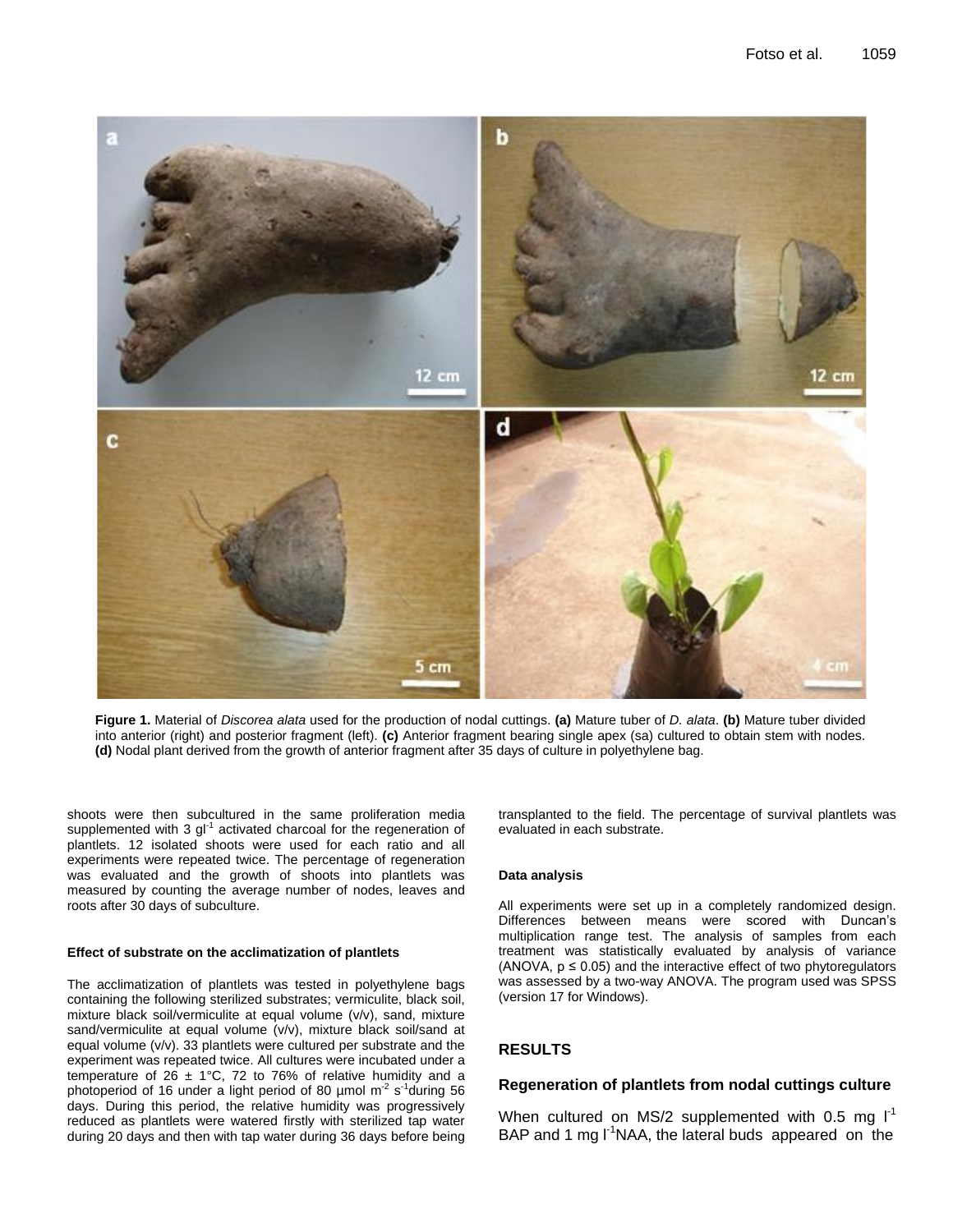

**Figure 1.** Material of *Discorea alata* used for the production of nodal cuttings. **(a)** Mature tuber of *D. alata*. **(b)** Mature tuber divided into anterior (right) and posterior fragment (left). **(c)** Anterior fragment bearing single apex (sa) cultured to obtain stem with nodes. **(d)** Nodal plant derived from the growth of anterior fragment after 35 days of culture in polyethylene bag.

shoots were then subcultured in the same proliferation media supplemented with 3  $gl^{-1}$  activated charcoal for the regeneration of plantlets. 12 isolated shoots were used for each ratio and all experiments were repeated twice. The percentage of regeneration was evaluated and the growth of shoots into plantlets was measured by counting the average number of nodes, leaves and roots after 30 days of subculture.

#### **Effect of substrate on the acclimatization of plantlets**

The acclimatization of plantlets was tested in polyethylene bags containing the following sterilized substrates; vermiculite, black soil, mixture black soil/vermiculite at equal volume (v/v), sand, mixture sand/vermiculite at equal volume (v/v), mixture black soil/sand at equal volume (v/v). 33 plantlets were cultured per substrate and the experiment was repeated twice. All cultures were incubated under a temperature of 26  $\pm$  1°C, 72 to 76% of relative humidity and a photoperiod of 16 under a light period of 80  $\mu$ mol m<sup>-2</sup> s<sup>-1</sup>during 56 days. During this period, the relative humidity was progressively reduced as plantlets were watered firstly with sterilized tap water during 20 days and then with tap water during 36 days before being

transplanted to the field. The percentage of survival plantlets was evaluated in each substrate.

#### **Data analysis**

All experiments were set up in a completely randomized design. Differences between means were scored with Duncan's multiplication range test. The analysis of samples from each treatment was statistically evaluated by analysis of variance (ANOVA,  $p \le 0.05$ ) and the interactive effect of two phytoregulators was assessed by a two-way ANOVA. The program used was SPSS (version 17 for Windows).

#### **RESULTS**

#### **Regeneration of plantlets from nodal cuttings culture**

When cultured on MS/2 supplemented with 0.5 mg  $I^1$ BAP and 1 mg  $I^1$ NAA, the lateral buds appeared on the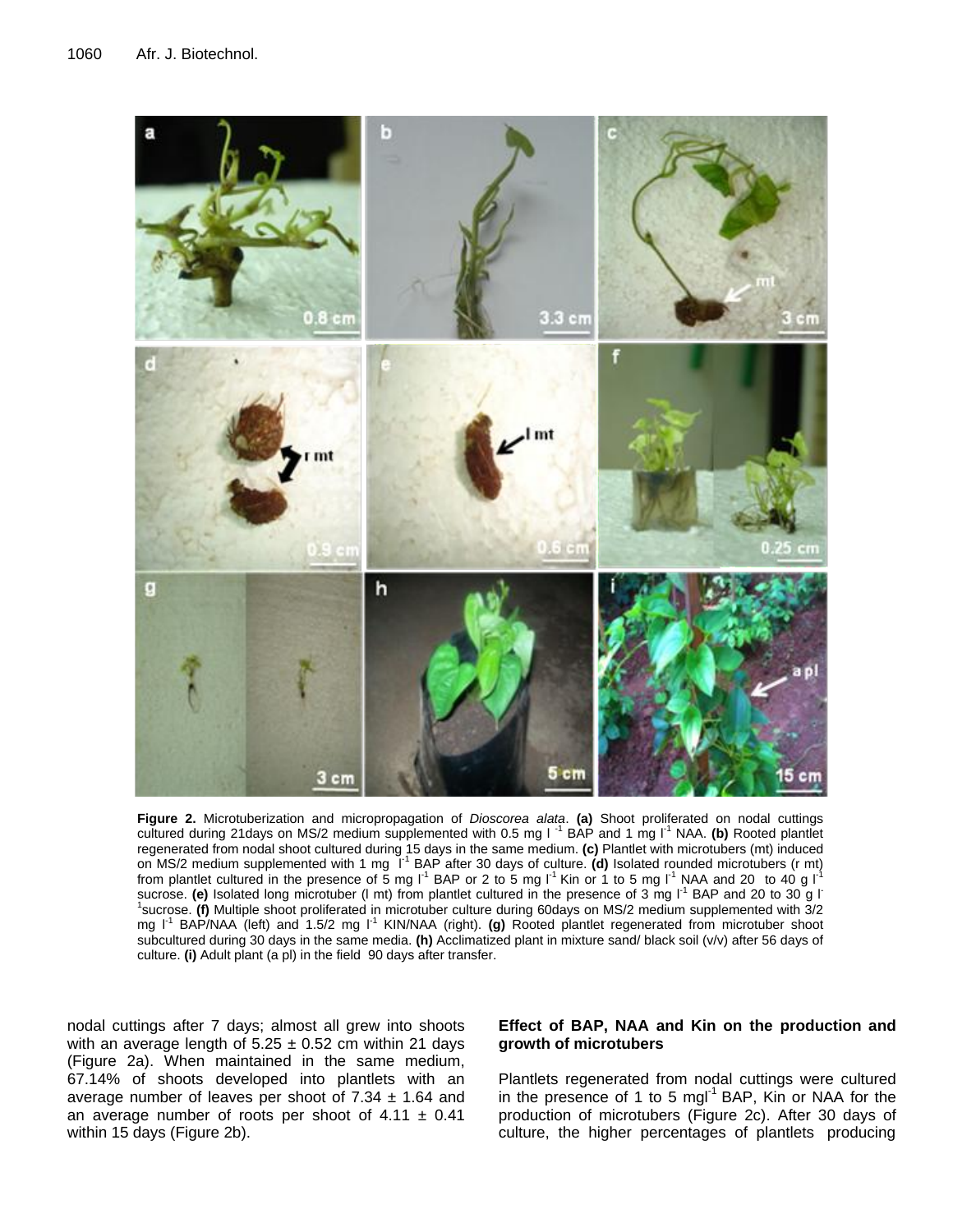

**Figure 2.** Microtuberization and micropropagation of *Dioscorea alata*. **(a)** Shoot proliferated on nodal cuttings cultured during 21 days on MS/2 medium supplemented with 0.5 mg I<sup>-1</sup> BAP and 1 mg I<sup>-1</sup> NAA. **(b)** Rooted plantlet regenerated from nodal shoot cultured during 15 days in the same medium. **(c)** Plantlet with microtubers (mt) induced on MS/2 medium supplemented with 1 mg <sup>11</sup> BAP after 30 days of culture. (d) Isolated rounded microtubers (r mt) from plantlet cultured in the presence of 5 mg  $I<sup>-1</sup>$  BAP or 2 to 5 mg  $I<sup>-1</sup>$  Kin or 1 to 5 mg  $I<sup>-1</sup>$  NAA and 20 to 40 g  $I<sup>-1</sup>$ sucrose. **(e)** Isolated long microtuber (I mt) from plantlet cultured in the presence of 3 mg I<sup>-1</sup> BAP and 20 to 30 g I<sup>-</sup> 1 sucrose. **(f)** Multiple shoot proliferated in microtuber culture during 60days on MS/2 medium supplemented with 3/2 mg I<sup>-1</sup> BAP/NAA (left) and 1.5/2 mg I<sup>-1</sup> KIN/NAA (right). (g) Rooted plantlet regenerated from microtuber shoot subcultured during 30 days in the same media. **(h)** Acclimatized plant in mixture sand/ black soil (v/v) after 56 days of culture. **(i)** Adult plant (a pl) in the field 90 days after transfer.

nodal cuttings after 7 days; almost all grew into shoots with an average length of  $5.25 \pm 0.52$  cm within 21 days (Figure 2a). When maintained in the same medium, 67.14% of shoots developed into plantlets with an average number of leaves per shoot of  $7.34 \pm 1.64$  and an average number of roots per shoot of  $4.11 \pm 0.41$ within 15 days (Figure 2b).

#### **Effect of BAP, NAA and Kin on the production and growth of microtubers**

Plantlets regenerated from nodal cuttings were cultured in the presence of 1 to 5 mgl $^{-1}$  BAP, Kin or NAA for the production of microtubers (Figure 2c). After 30 days of culture, the higher percentages of plantlets producing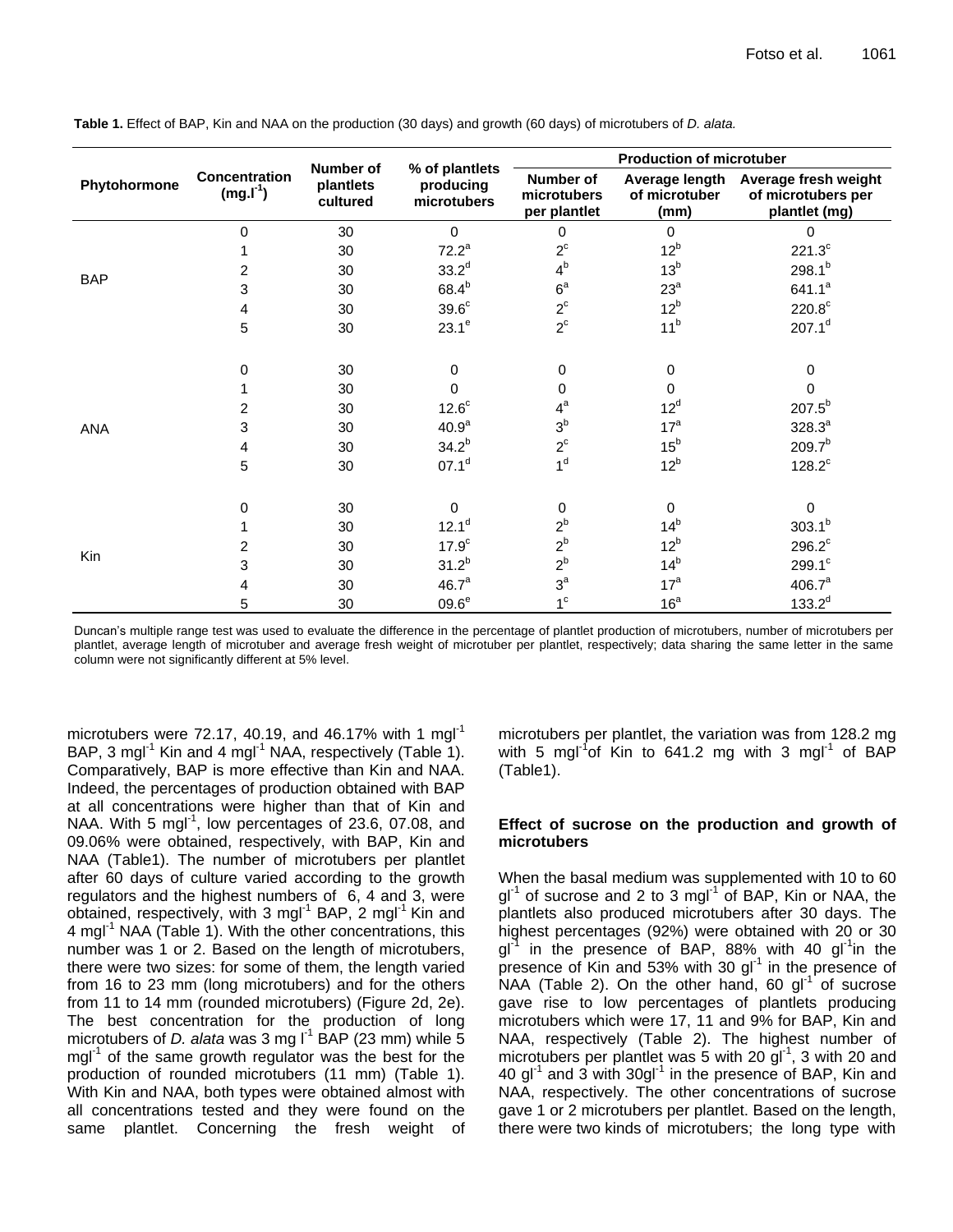|              | Concentration<br>$(mg.I-1)$ | <b>Number of</b><br>plantlets<br>cultured | % of plantlets<br>producing<br>microtubers | <b>Production of microtuber</b>          |                       |                                                                            |
|--------------|-----------------------------|-------------------------------------------|--------------------------------------------|------------------------------------------|-----------------------|----------------------------------------------------------------------------|
| Phytohormone |                             |                                           |                                            | Number of<br>microtubers<br>per plantlet | of microtuber<br>(mm) | Average length Average fresh weight<br>of microtubers per<br>plantlet (mg) |
|              | 0                           | 30                                        | $\mathbf 0$                                | $\mathbf 0$                              | $\Omega$              | 0                                                                          |
|              |                             | 30                                        | $72.2^a$                                   | $2^{\circ}$                              | 12 <sup>b</sup>       | $221.3^c$                                                                  |
| <b>BAP</b>   | 2                           | 30                                        | $33.2^{d}$                                 | 4 <sup>b</sup>                           | 13 <sup>b</sup>       | $298.1^{b}$                                                                |
|              | 3                           | 30                                        | $68.4^{b}$                                 | 6 <sup>a</sup>                           | $23^a$                | $641.1^a$                                                                  |
|              | 4                           | 30                                        | 39.6 <sup>c</sup>                          | $2^{\circ}$                              | 12 <sup>b</sup>       | $220.8^{\circ}$                                                            |
|              | 5                           | 30                                        | $23.1^e$                                   | $2^{\circ}$                              | 11 <sup>b</sup>       | $207.1^d$                                                                  |
|              | 0                           | 30                                        | $\mathbf 0$                                | $\mathbf 0$                              | 0                     | 0                                                                          |
|              |                             | 30                                        | $\Omega$                                   | 0                                        | 0                     | 0                                                                          |
|              | 2                           | 30                                        | $12.6^c$                                   | $4^a$                                    | 12 <sup>d</sup>       | $207.5^{b}$                                                                |
| ANA          | 3                           | 30                                        | 40.9 <sup>a</sup>                          | 3 <sup>b</sup>                           | 17 <sup>a</sup>       | $328.3^{a}$                                                                |
|              | 4                           | 30                                        | $34.2^{b}$                                 | $2^{\circ}$                              | 15 <sup>b</sup>       | $209.7^{b}$                                                                |
|              | 5                           | 30                                        | 07.1 <sup>d</sup>                          | 1 <sup>d</sup>                           | 12 <sup>b</sup>       | $128.2^c$                                                                  |
|              | $\Omega$                    | 30                                        | $\Omega$                                   | $\mathbf 0$                              | $\mathbf 0$           | 0                                                                          |
| Kin          |                             | 30                                        | $12.1^d$                                   | $2^b$                                    | 14 <sup>b</sup>       | $303.1^{b}$                                                                |
|              | 2                           | 30                                        | 17.9 <sup>c</sup>                          | $2^b$                                    | 12 <sup>b</sup>       | $296.2^c$                                                                  |
|              | 3                           | 30                                        | $31.2^{b}$                                 | $2^b$                                    | 14 <sup>b</sup>       | $299.1^c$                                                                  |
|              | 4                           | 30                                        | 46.7 <sup>a</sup>                          | $3^a$                                    | 17 <sup>a</sup>       | 406.7 <sup>a</sup>                                                         |
|              | 5                           | 30                                        | $09.6^e$                                   | 1 <sup>c</sup>                           | 16 <sup>a</sup>       | $133.2^{d}$                                                                |

**Table 1.** Effect of BAP, Kin and NAA on the production (30 days) and growth (60 days) of microtubers of *D. alata.*

Duncan's multiple range test was used to evaluate the difference in the percentage of plantlet production of microtubers, number of microtubers per plantlet, average length of microtuber and average fresh weight of microtuber per plantlet, respectively; data sharing the same letter in the same column were not significantly different at 5% level.

microtubers were 72.17, 40.19, and 46.17% with 1 mg $I^1$ BAP, 3 mgl<sup>-1</sup> Kin and 4 mgl<sup>-1</sup> NAA, respectively (Table 1). Comparatively, BAP is more effective than Kin and NAA. Indeed, the percentages of production obtained with BAP at all concentrations were higher than that of Kin and NAA. With 5 mgl<sup>-1</sup>, low percentages of 23.6, 07.08, and 09.06% were obtained, respectively, with BAP, Kin and NAA (Table1). The number of microtubers per plantlet after 60 days of culture varied according to the growth regulators and the highest numbers of 6, 4 and 3, were obtained, respectively, with 3 mgl<sup>-1</sup> BAP, 2 mgl<sup>-1</sup> Kin and 4 mgl<sup>-1</sup> NAA (Table 1). With the other concentrations, this number was 1 or 2. Based on the length of microtubers, there were two sizes: for some of them, the length varied from 16 to 23 mm (long microtubers) and for the others from 11 to 14 mm (rounded microtubers) (Figure 2d, 2e). The best concentration for the production of long microtubers of *D. alata* was 3 mg  $I<sup>1</sup>$  BAP (23 mm) while 5  $mgl^{-1}$  of the same growth regulator was the best for the production of rounded microtubers (11 mm) (Table 1). With Kin and NAA, both types were obtained almost with all concentrations tested and they were found on the same plantlet. Concerning the fresh weight of

microtubers per plantlet, the variation was from 128.2 mg with 5 mgl<sup>-1</sup>of Kin to 641.2 mg with 3 mgl<sup>-1</sup> of BAP (Table1).

## **Effect of sucrose on the production and growth of microtubers**

When the basal medium was supplemented with 10 to 60  $gl^{-1}$  of sucrose and 2 to 3 mgl<sup>-1</sup> of BAP, Kin or NAA, the plantlets also produced microtubers after 30 days. The highest percentages (92%) were obtained with 20 or 30 gl<sup>3</sup> in the presence of BAP, 88% with 40 gl<sup>-1</sup>in the presence of Kin and 53% with 30  $gI^{-1}$  in the presence of NAA (Table 2). On the other hand, 60  $gI^{-1}$  of sucrose gave rise to low percentages of plantlets producing microtubers which were 17, 11 and 9% for BAP, Kin and NAA, respectively (Table 2). The highest number of microtubers per plantlet was 5 with 20  $\mathrm{gl}^{-1}$ , 3 with 20 and 40 gl<sup>-1</sup> and 3 with 30gl<sup>-1</sup> in the presence of BAP, Kin and NAA, respectively. The other concentrations of sucrose gave 1 or 2 microtubers per plantlet. Based on the length, there were two kinds of microtubers; the long type with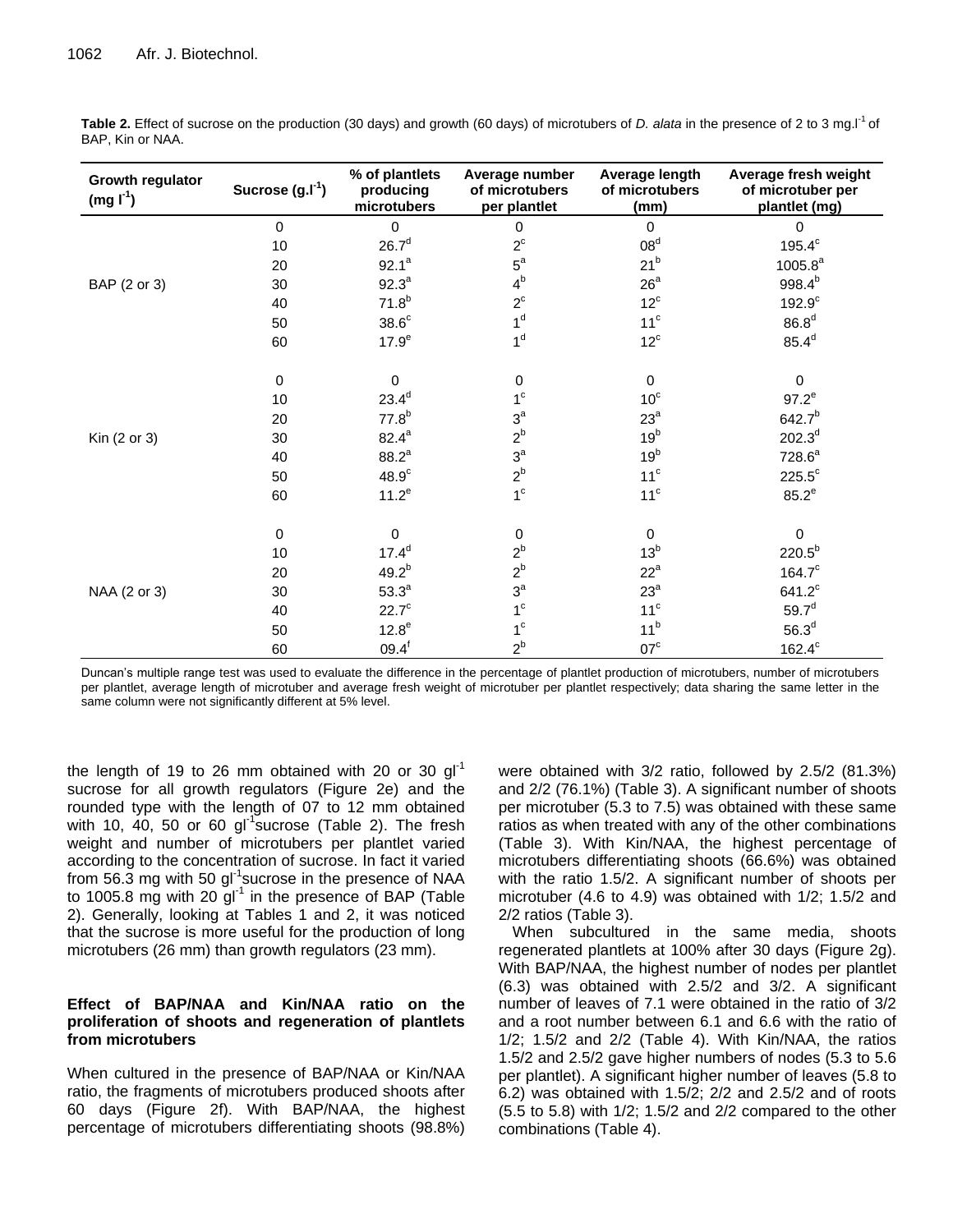| Growth regulator<br>(mg I <sup>1</sup> ) | Sucrose $(g.I-1)$ | % of plantlets<br>producing<br>microtubers | Average number<br>of microtubers<br>per plantlet | Average length<br>of microtubers<br>(mm) | Average fresh weight<br>of microtuber per<br>plantlet (mg) |
|------------------------------------------|-------------------|--------------------------------------------|--------------------------------------------------|------------------------------------------|------------------------------------------------------------|
|                                          | $\mathbf 0$       | $\mathbf 0$                                | 0                                                | $\Omega$                                 | $\mathbf 0$                                                |
|                                          | 10                | 26.7 <sup>d</sup>                          | $2^{\circ}$                                      | 08 <sup>d</sup>                          | $195.4^c$                                                  |
|                                          | 20                | $92.1^a$                                   | $5^a$                                            | 21 <sup>b</sup>                          | $1005.8^a$                                                 |
| BAP (2 or 3)                             | 30                | $92.3^a$                                   | $4^b$                                            | 26 <sup>a</sup>                          | $998.4^{b}$                                                |
|                                          | 40                | $71.8^{b}$                                 | $2^{\circ}$                                      | $12^{\circ}$                             | $192.9^c$                                                  |
|                                          | 50                | $38.6^{\circ}$                             | 1 <sup>d</sup>                                   | 11 <sup>c</sup>                          | 86.8 <sup>d</sup>                                          |
|                                          | 60                | 17.9 <sup>e</sup>                          | 1 <sup>d</sup>                                   | $12^{\circ}$                             | $85.4^d$                                                   |
|                                          |                   | $\Omega$                                   |                                                  | $\mathbf 0$                              | $\Omega$                                                   |
|                                          | 0                 | $23.4^d$                                   | $\,0\,$<br>$1^{\circ}$                           | 10 <sup>c</sup>                          |                                                            |
|                                          | 10                |                                            | $3^a$                                            |                                          | $97.2^e$                                                   |
|                                          | 20                | $77.8^{b}$                                 |                                                  | $23^a$                                   | $642.7^{b}$                                                |
| Kin (2 or 3)                             | 30                | $82.4^a$                                   | $2^b$                                            | 19 <sup>b</sup>                          | $202.3^{d}$                                                |
|                                          | 40                | $88.2^{a}$                                 | $3^a$                                            | 19 <sup>b</sup>                          | 728.6 <sup>a</sup>                                         |
|                                          | 50                | 48.9 <sup>c</sup>                          | $2^{\mathsf{b}}$                                 | $11^c$                                   | $225.5^{\circ}$                                            |
|                                          | 60                | $11.2^e$                                   | 1 <sup>c</sup>                                   | 11 <sup>c</sup>                          | $85.2^e$                                                   |
|                                          | $\mathbf 0$       | $\mathbf 0$                                | $\,0\,$                                          | $\mathbf 0$                              | $\mathbf 0$                                                |
|                                          | $10$              | $17.4^d$                                   | $2^b$                                            | 13 <sup>b</sup>                          | $220.5^{b}$                                                |
| NAA (2 or 3)                             | 20                | $49.2^{b}$                                 | $2^b$                                            | $22^a$                                   | $164.7^c$                                                  |
|                                          | 30                | $53.3^a$                                   | $3^a$                                            | $23^a$                                   | $641.2^c$                                                  |
|                                          | 40                | $22.7^{\circ}$                             | $1^{\circ}$                                      | 11 <sup>c</sup>                          | $59.7^d$                                                   |
|                                          | 50                | $12.8^e$                                   | $1^{\circ}$                                      | 11 <sup>b</sup>                          | 56.3 <sup>d</sup>                                          |
|                                          | 60                | $09.4^f$                                   | $2^b$                                            | $07^{\circ}$                             | $162.4^c$                                                  |

**Table 2.** Effect of sucrose on the production (30 days) and growth (60 days) of microtubers of *D. alata* in the presence of 2 to 3 mg.l<sup>-1</sup> of BAP, Kin or NAA.

Duncan's multiple range test was used to evaluate the difference in the percentage of plantlet production of microtubers, number of microtubers per plantlet, average length of microtuber and average fresh weight of microtuber per plantlet respectively; data sharing the same letter in the same column were not significantly different at 5% level.

the length of 19 to 26 mm obtained with 20 or 30  $q_1^{-1}$ sucrose for all growth regulators (Figure 2e) and the rounded type with the length of 07 to 12 mm obtained with 10,  $40$ , 50 or 60 gl<sup>-1</sup> sucrose (Table 2). The fresh weight and number of microtubers per plantlet varied according to the concentration of sucrose. In fact it varied from 56.3 mg with 50 gl<sup>-1</sup>sucrose in the presence of NAA to 1005.8 mg with 20  $gI^{-1}$  in the presence of BAP (Table 2). Generally, looking at Tables 1 and 2, it was noticed that the sucrose is more useful for the production of long microtubers (26 mm) than growth regulators (23 mm).

# **Effect of BAP/NAA and Kin/NAA ratio on the proliferation of shoots and regeneration of plantlets from microtubers**

When cultured in the presence of BAP/NAA or Kin/NAA ratio, the fragments of microtubers produced shoots after 60 days (Figure 2f). With BAP/NAA, the highest percentage of microtubers differentiating shoots (98.8%) were obtained with 3/2 ratio, followed by 2.5/2 (81.3%) and 2/2 (76.1%) (Table 3). A significant number of shoots per microtuber (5.3 to 7.5) was obtained with these same ratios as when treated with any of the other combinations (Table 3). With Kin/NAA, the highest percentage of microtubers differentiating shoots (66.6%) was obtained with the ratio 1.5/2. A significant number of shoots per microtuber (4.6 to 4.9) was obtained with 1/2; 1.5/2 and 2/2 ratios (Table 3).

When subcultured in the same media, shoots regenerated plantlets at 100% after 30 days (Figure 2g). With BAP/NAA, the highest number of nodes per plantlet (6.3) was obtained with 2.5/2 and 3/2. A significant number of leaves of 7.1 were obtained in the ratio of 3/2 and a root number between 6.1 and 6.6 with the ratio of  $1/2$ ;  $1.5/2$  and  $2/2$  (Table 4). With Kin/NAA, the ratios 1.5/2 and 2.5/2 gave higher numbers of nodes (5.3 to 5.6 per plantlet). A significant higher number of leaves (5.8 to 6.2) was obtained with 1.5/2; 2/2 and 2.5/2 and of roots (5.5 to 5.8) with 1/2; 1.5/2 and 2/2 compared to the other combinations (Table 4).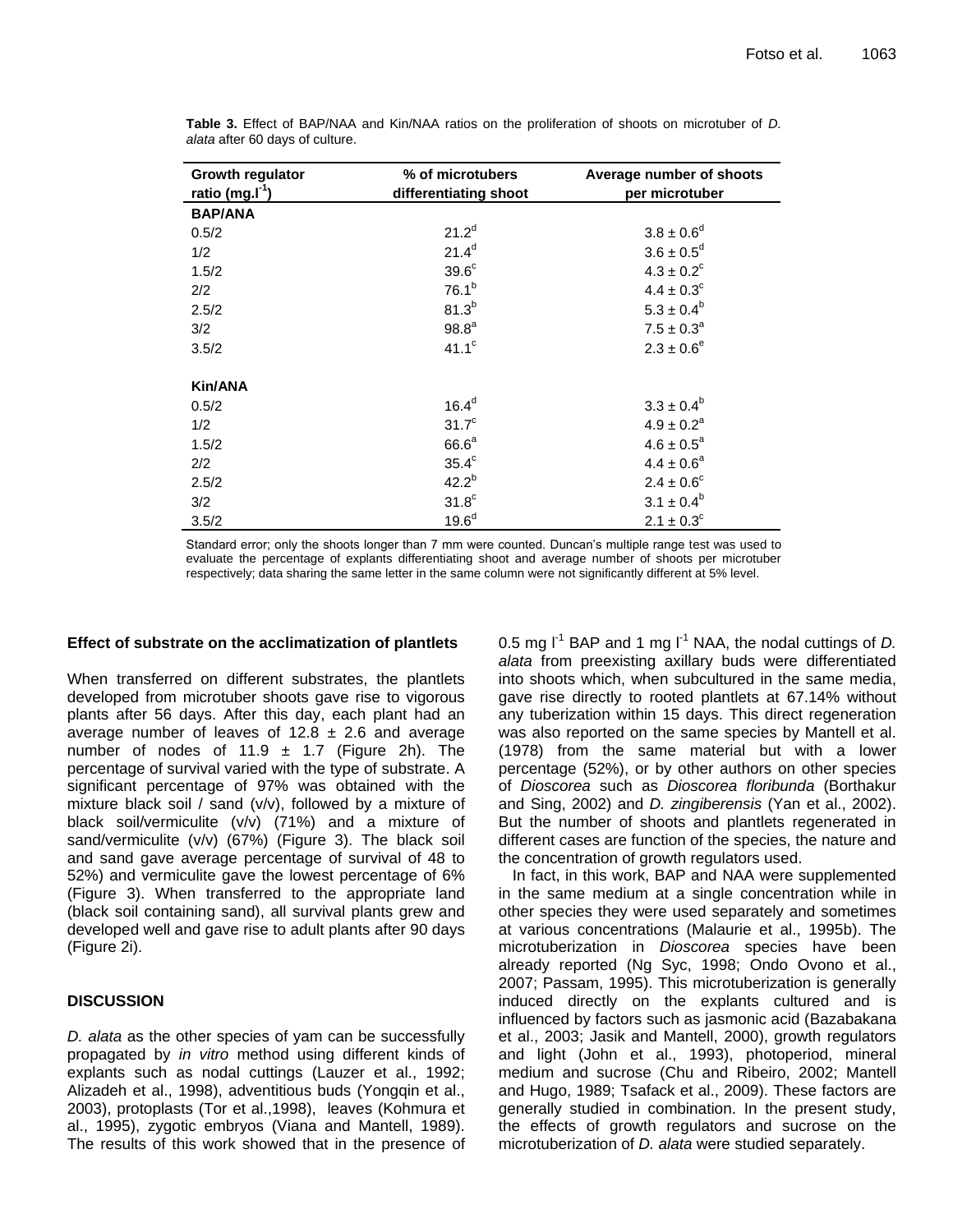| Growth regulator   | % of microtubers      | Average number of shoots   |
|--------------------|-----------------------|----------------------------|
| ratio (mg. $I^1$ ) | differentiating shoot | per microtuber             |
| <b>BAP/ANA</b>     |                       |                            |
| 0.5/2              | $21.2^{d}$            | $3.8 \pm 0.6^d$            |
| 1/2                | $21.4^{d}$            | $3.6 \pm 0.5^d$            |
| 1.5/2              | 39.6 <sup>c</sup>     | $4.3 \pm 0.2$ <sup>c</sup> |
| 2/2                | $76.1^{b}$            | $4.4 \pm 0.3^c$            |
| 2.5/2              | 81.3 <sup>b</sup>     | $5.3 \pm 0.4^b$            |
| 3/2                | 98.8 <sup>a</sup>     | $7.5 \pm 0.3^a$            |
| 3.5/2              | 41.1 <sup>c</sup>     | $2.3 \pm 0.6^e$            |
|                    |                       |                            |
| Kin/ANA            |                       |                            |
| 0.5/2              | 16.4 <sup>d</sup>     | $3.3 \pm 0.4^b$            |
| 1/2                | 31.7 <sup>c</sup>     | $4.9 \pm 0.2^a$            |
| 1.5/2              | 66.6 <sup>a</sup>     | $4.6 \pm 0.5^a$            |
| 2/2                | $35.4^c$              | $4.4 \pm 0.6^a$            |
| 2.5/2              | $42.2^{b}$            | $2.4 \pm 0.6^{\circ}$      |
| 3/2                | 31.8 <sup>c</sup>     | $3.1 \pm 0.4^b$            |
| 3.5/2              | 19.6 <sup>d</sup>     | $2.1 \pm 0.3^{\circ}$      |

**Table 3.** Effect of BAP/NAA and Kin/NAA ratios on the proliferation of shoots on microtuber of *D. alata* after 60 days of culture.

Standard error; only the shoots longer than 7 mm were counted. Duncan's multiple range test was used to evaluate the percentage of explants differentiating shoot and average number of shoots per microtuber respectively; data sharing the same letter in the same column were not significantly different at 5% level.

#### **Effect of substrate on the acclimatization of plantlets**

When transferred on different substrates, the plantlets developed from microtuber shoots gave rise to vigorous plants after 56 days. After this day, each plant had an average number of leaves of 12.8  $\pm$  2.6 and average number of nodes of 11.9  $\pm$  1.7 (Figure 2h). The percentage of survival varied with the type of substrate. A significant percentage of 97% was obtained with the mixture black soil / sand (v/v), followed by a mixture of black soil/vermiculite (v/v) (71%) and a mixture of sand/vermiculite (v/v) (67%) (Figure 3). The black soil and sand gave average percentage of survival of 48 to 52%) and vermiculite gave the lowest percentage of 6% (Figure 3). When transferred to the appropriate land (black soil containing sand), all survival plants grew and developed well and gave rise to adult plants after 90 days (Figure 2i).

# **DISCUSSION**

*D. alata* as the other species of yam can be successfully propagated by *in vitro* method using different kinds of explants such as nodal cuttings (Lauzer et al., 1992; Alizadeh et al., 1998), adventitious buds (Yongqin et al., 2003), protoplasts (Tor et al.,1998), leaves (Kohmura et al., 1995), zygotic embryos (Viana and Mantell, 1989). The results of this work showed that in the presence of 0.5 mg  $I^1$  BAP and 1 mg  $I^1$  NAA, the nodal cuttings of *D. alata* from preexisting axillary buds were differentiated into shoots which, when subcultured in the same media, gave rise directly to rooted plantlets at 67.14% without any tuberization within 15 days. This direct regeneration was also reported on the same species by Mantell et al. (1978) from the same material but with a lower percentage (52%), or by other authors on other species of *Dioscorea* such as *Dioscorea floribunda* (Borthakur and Sing, 2002) and *D. zingiberensis* (Yan et al., 2002). But the number of shoots and plantlets regenerated in different cases are function of the species, the nature and the concentration of growth regulators used.

In fact, in this work, BAP and NAA were supplemented in the same medium at a single concentration while in other species they were used separately and sometimes at various concentrations (Malaurie et al., 1995b). The microtuberization in *Dioscorea* species have been already reported (Ng Syc, 1998; Ondo Ovono et al., 2007; Passam, 1995). This microtuberization is generally induced directly on the explants cultured and is influenced by factors such as jasmonic acid (Bazabakana et al., 2003; Jasik and Mantell, 2000), growth regulators and light (John et al., 1993), photoperiod, mineral medium and sucrose (Chu and Ribeiro, 2002; Mantell and Hugo, 1989; Tsafack et al., 2009). These factors are generally studied in combination. In the present study, the effects of growth regulators and sucrose on the microtuberization of *D. alata* were studied separately.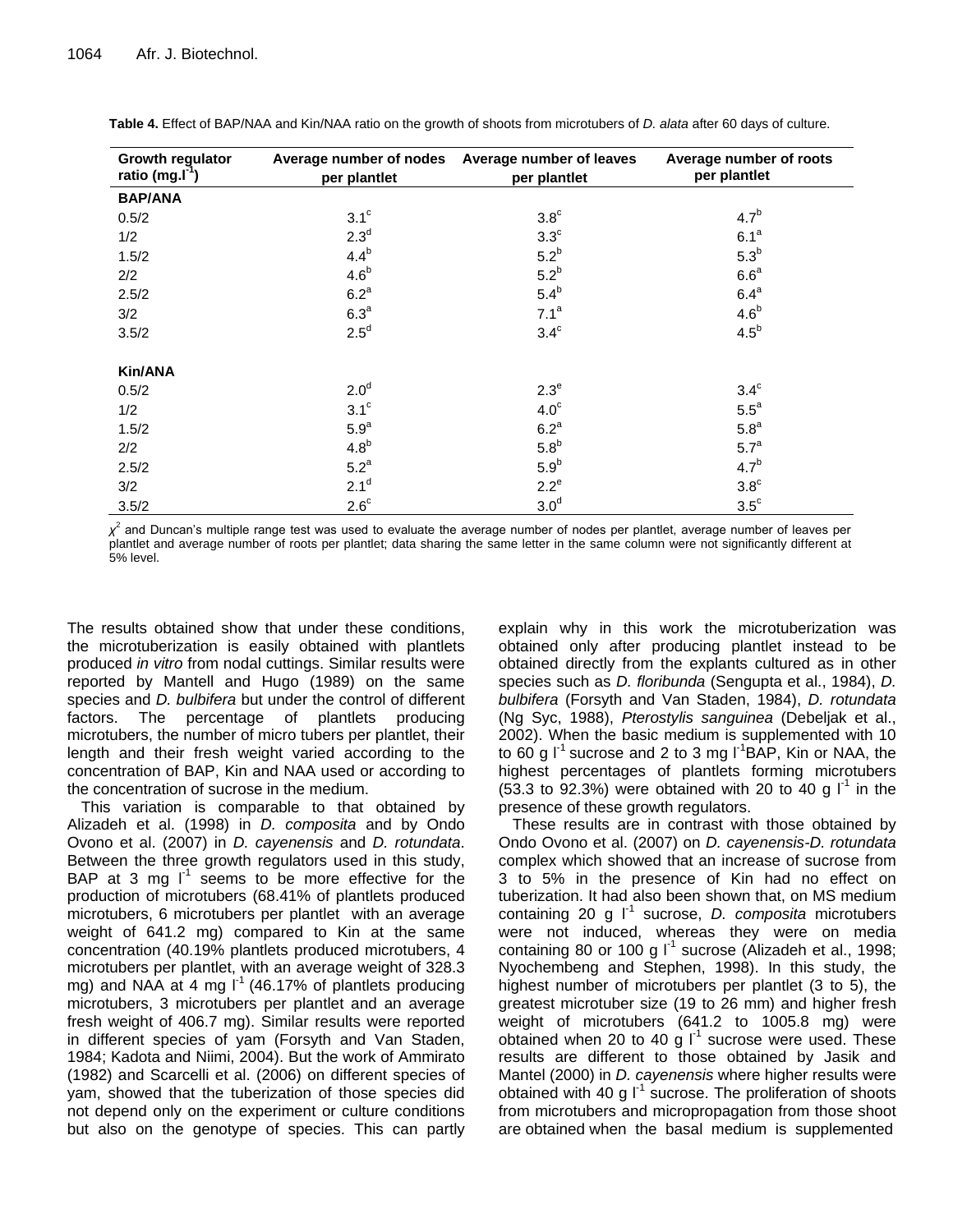| Growth regulator<br>ratio (mg. $I^1$ ) | per plantlet     | Average number of nodes Average number of leaves<br>per plantlet | Average number of roots<br>per plantlet |
|----------------------------------------|------------------|------------------------------------------------------------------|-----------------------------------------|
| <b>BAP/ANA</b>                         |                  |                                                                  |                                         |
| 0.5/2                                  | $3.1^\circ$      | $3.8^\circ$                                                      | 4.7 <sup>b</sup>                        |
| 1/2                                    | 2.3 <sup>d</sup> | $3.3^\circ$                                                      | 6.1 <sup>a</sup>                        |
| 1.5/2                                  | $4.4^b$          | $5.2^b$                                                          | $5.3^b$                                 |
| 2/2                                    | 4.6 <sup>b</sup> | $5.2^b$                                                          | 6.6 <sup>a</sup>                        |
| 2.5/2                                  | 6.2 <sup>a</sup> | $5.4^b$                                                          | 6.4 <sup>a</sup>                        |
| 3/2                                    | 6.3 <sup>a</sup> | 7.1 <sup>a</sup>                                                 | 4.6 <sup>b</sup>                        |
| 3.5/2                                  | $2.5^d$          | $3.4^\circ$                                                      | $4.5^b$                                 |
| <b>Kin/ANA</b>                         |                  |                                                                  |                                         |
| 0.5/2                                  | 2.0 <sup>d</sup> | $2.3^e$                                                          | $3.4^\circ$                             |
| 1/2                                    | $3.1^\circ$      | 4.0 <sup>c</sup>                                                 | $5.5^a$                                 |
| 1.5/2                                  | 5.9 <sup>a</sup> | $6.2^a$                                                          | 5.8 <sup>a</sup>                        |
| 2/2                                    | 4.8 <sup>b</sup> | $5.8^b$                                                          | 5.7 <sup>a</sup>                        |
| 2.5/2                                  | $5.2^a$          | 5.9 <sup>b</sup>                                                 | 4.7 <sup>b</sup>                        |
| 3/2                                    | 2.1 <sup>d</sup> | $2.2^e$                                                          | $3.8^\circ$                             |
| 3.5/2                                  | $2.6^\circ$      | 3.0 <sup>d</sup>                                                 | $3.5^{\circ}$                           |

**Table 4.** Effect of BAP/NAA and Kin/NAA ratio on the growth of shoots from microtubers of *D. alata* after 60 days of culture.

*χ* 2 and Duncan's multiple range test was used to evaluate the average number of nodes per plantlet, average number of leaves per plantlet and average number of roots per plantlet; data sharing the same letter in the same column were not significantly different at 5% level.

The results obtained show that under these conditions, the microtuberization is easily obtained with plantlets produced *in vitro* from nodal cuttings. Similar results were reported by Mantell and Hugo (1989) on the same species and *D. bulbifera* but under the control of different factors. The percentage of plantlets producing microtubers, the number of micro tubers per plantlet, their length and their fresh weight varied according to the concentration of BAP, Kin and NAA used or according to the concentration of sucrose in the medium.

This variation is comparable to that obtained by Alizadeh et al. (1998) in *D. composita* and by Ondo Ovono et al. (2007) in *D. cayenensis* and *D. rotundata*. Between the three growth regulators used in this study, BAP at 3 mg  $I^1$  seems to be more effective for the production of microtubers (68.41% of plantlets produced microtubers, 6 microtubers per plantlet with an average weight of 641.2 mg) compared to Kin at the same concentration (40.19% plantlets produced microtubers, 4 microtubers per plantlet, with an average weight of 328.3 mg) and NAA at 4 mg  $I^1$  (46.17% of plantlets producing microtubers, 3 microtubers per plantlet and an average fresh weight of 406.7 mg). Similar results were reported in different species of yam (Forsyth and Van Staden, 1984; Kadota and Niimi, 2004). But the work of Ammirato (1982) and Scarcelli et al. (2006) on different species of yam, showed that the tuberization of those species did not depend only on the experiment or culture conditions but also on the genotype of species. This can partly

explain why in this work the microtuberization was obtained only after producing plantlet instead to be obtained directly from the explants cultured as in other species such as *D. floribunda* (Sengupta et al., 1984), *D. bulbifera* (Forsyth and Van Staden, 1984), *D. rotundata* (Ng Syc, 1988), *Pterostylis sanguinea* (Debeljak et al., 2002). When the basic medium is supplemented with 10 to 60 g  $\mathsf{I}^1$  sucrose and 2 to 3 mg  $\mathsf{I}^1$ BAP, Kin or NAA, the highest percentages of plantlets forming microtubers  $(53.3 \text{ to } 92.3\%)$  were obtained with 20 to 40 g  $I^1$  in the presence of these growth regulators.

These results are in contrast with those obtained by Ondo Ovono et al. (2007) on *D. cayenensis-D. rotundata* complex which showed that an increase of sucrose from 3 to 5% in the presence of Kin had no effect on tuberization. It had also been shown that, on MS medium containing 20 g l<sup>-1</sup> sucrose, *D. composita* microtubers were not induced, whereas they were on media containing 80 or 100 g  $I^1$  sucrose (Alizadeh et al., 1998; Nyochembeng and Stephen, 1998). In this study, the highest number of microtubers per plantlet (3 to 5), the greatest microtuber size (19 to 26 mm) and higher fresh weight of microtubers (641.2 to 1005.8 mg) were obtained when 20 to 40 g  $I^1$  sucrose were used. These results are different to those obtained by Jasik and Mantel (2000) in *D. cayenensis* where higher results were obtained with 40 g  $I^1$  sucrose. The proliferation of shoots from microtubers and micropropagation from those shoot are obtained when the basal medium is supplemented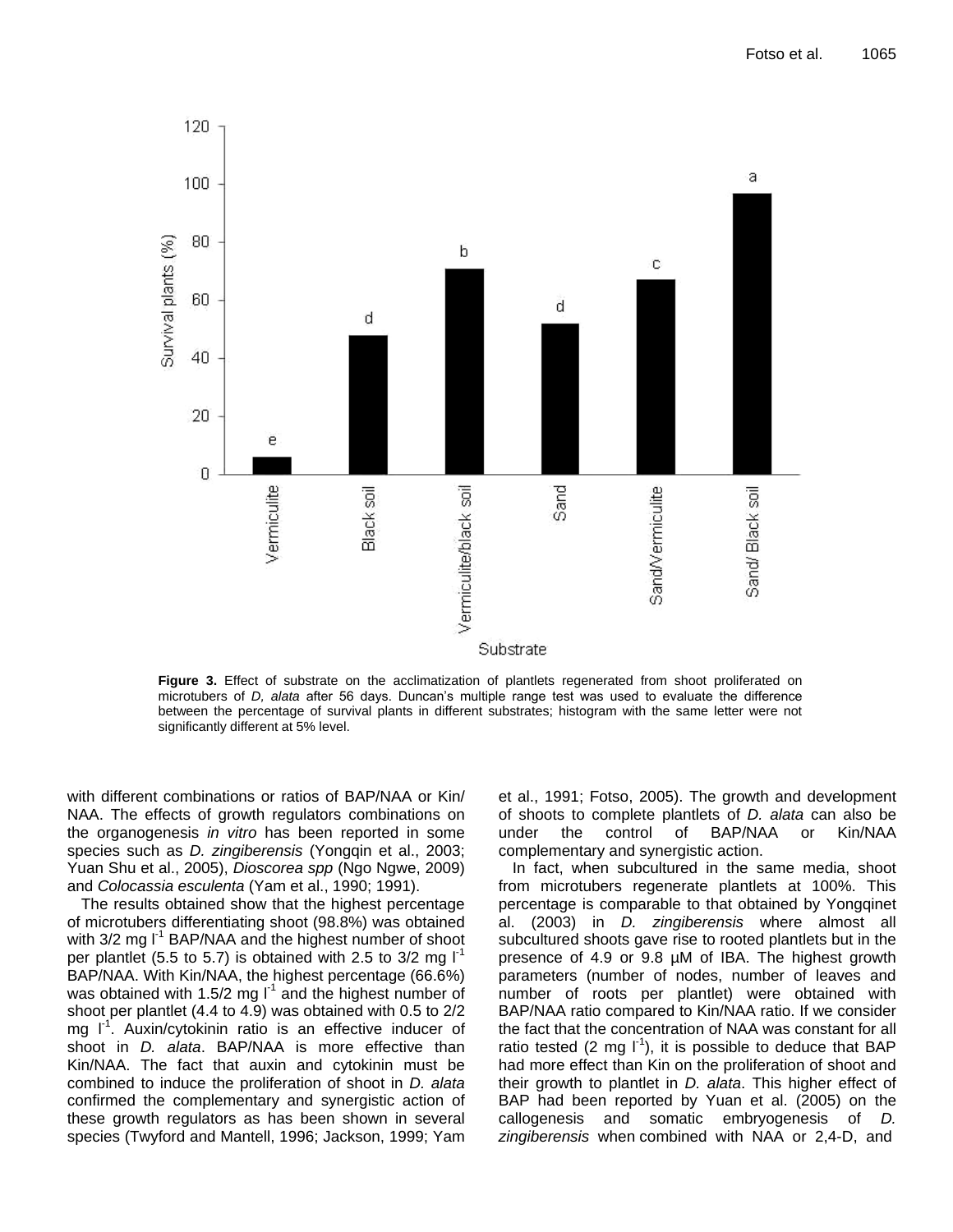

**Figure 3.** Effect of substrate on the acclimatization of plantlets regenerated from shoot proliferated on microtubers of *D, alata* after 56 days. Duncan's multiple range test was used to evaluate the difference between the percentage of survival plants in different substrates; histogram with the same letter were not significantly different at 5% level.

with different combinations or ratios of BAP/NAA or Kin/ NAA. The effects of growth regulators combinations on the organogenesis *in vitro* has been reported in some species such as *D. zingiberensis* (Yongqin et al., 2003; Yuan Shu et al., 2005), *Dioscorea spp* (Ngo Ngwe, 2009) and *Colocassia esculenta* (Yam et al., 1990; 1991).

The results obtained show that the highest percentage of microtubers differentiating shoot (98.8%) was obtained with  $3/2$  mg  $I^1$  BAP/NAA and the highest number of shoot per plantlet (5.5 to 5.7) is obtained with 2.5 to  $3/2$  mg  $I<sup>-1</sup>$ BAP/NAA. With Kin/NAA, the highest percentage (66.6%) was obtained with 1.5/2 mg  $I<sup>1</sup>$  and the highest number of shoot per plantlet (4.4 to 4.9) was obtained with 0.5 to 2/2 mg  $I^1$ . Auxin/cytokinin ratio is an effective inducer of shoot in *D. alata*. BAP/NAA is more effective than Kin/NAA. The fact that auxin and cytokinin must be combined to induce the proliferation of shoot in *D. alata* confirmed the complementary and synergistic action of these growth regulators as has been shown in several species (Twyford and Mantell, 1996; Jackson, 1999; Yam

et al., 1991; Fotso, 2005). The growth and development of shoots to complete plantlets of *D. alata* can also be under the control of BAP/NAA or Kin/NAA complementary and synergistic action.

In fact, when subcultured in the same media, shoot from microtubers regenerate plantlets at 100%. This percentage is comparable to that obtained by Yongqinet al. (2003) in *D. zingiberensis* where almost all subcultured shoots gave rise to rooted plantlets but in the presence of 4.9 or 9.8 µM of IBA. The highest growth parameters (number of nodes, number of leaves and number of roots per plantlet) were obtained with BAP/NAA ratio compared to Kin/NAA ratio. If we consider the fact that the concentration of NAA was constant for all ratio tested (2 mg  $I^{-1}$ ), it is possible to deduce that BAP had more effect than Kin on the proliferation of shoot and their growth to plantlet in *D. alata*. This higher effect of BAP had been reported by Yuan et al. (2005) on the callogenesis and somatic embryogenesis of *D. zingiberensis* when combined with NAA or 2,4-D, and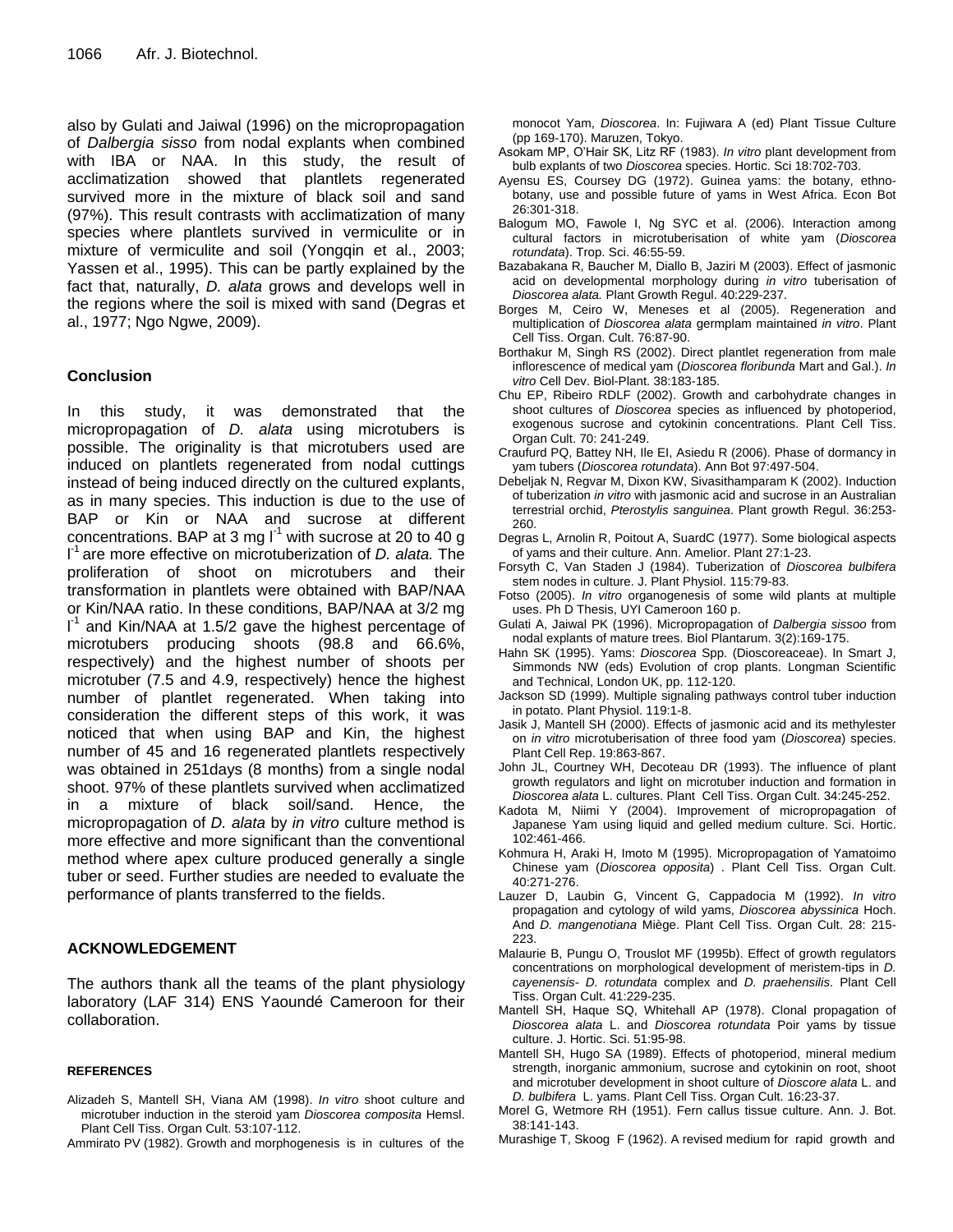also by Gulati and Jaiwal (1996) on the micropropagation of *Dalbergia sisso* from nodal explants when combined with IBA or NAA. In this study, the result of acclimatization showed that plantlets regenerated survived more in the mixture of black soil and sand (97%). This result contrasts with acclimatization of many species where plantlets survived in vermiculite or in mixture of vermiculite and soil (Yongqin et al., 2003; Yassen et al., 1995). This can be partly explained by the fact that, naturally, *D. alata* grows and develops well in the regions where the soil is mixed with sand (Degras et al., 1977; Ngo Ngwe, 2009).

# **Conclusion**

In this study, it was demonstrated that the micropropagation of *D. alata* using microtubers is possible. The originality is that microtubers used are induced on plantlets regenerated from nodal cuttings instead of being induced directly on the cultured explants, as in many species. This induction is due to the use of BAP or Kin or NAA and sucrose at different concentrations. BAP at 3 mg  $I^1$  with sucrose at 20 to 40 g l -1 are more effective on microtuberization of *D. alata.* The proliferation of shoot on microtubers and their transformation in plantlets were obtained with BAP/NAA or Kin/NAA ratio. In these conditions, BAP/NAA at 3/2 mg  $I^1$  and Kin/NAA at 1.5/2 gave the highest percentage of microtubers producing shoots (98.8 and 66.6%, respectively) and the highest number of shoots per microtuber (7.5 and 4.9, respectively) hence the highest number of plantlet regenerated. When taking into consideration the different steps of this work, it was noticed that when using BAP and Kin, the highest number of 45 and 16 regenerated plantlets respectively was obtained in 251days (8 months) from a single nodal shoot. 97% of these plantlets survived when acclimatized in a mixture of black soil/sand. Hence, the micropropagation of *D. alata* by *in vitro* culture method is more effective and more significant than the conventional method where apex culture produced generally a single tuber or seed. Further studies are needed to evaluate the performance of plants transferred to the fields.

# **ACKNOWLEDGEMENT**

The authors thank all the teams of the plant physiology laboratory (LAF 314) ENS Yaoundé Cameroon for their collaboration.

#### **REFERENCES**

- Alizadeh S, Mantell SH, Viana AM (1998). *In vitro* shoot culture and microtuber induction in the steroid yam *Dioscorea composita* Hemsl. Plant Cell Tiss. Organ Cult. 53:107-112.
- Ammirato PV (1982). Growth and morphogenesis is in cultures of the

monocot Yam, *Dioscorea*. In: Fujiwara A (ed) Plant Tissue Culture (pp 169-170). Maruzen, Tokyo.

- Asokam MP, O'Hair SK, Litz RF (1983). *In vitro* plant development from bulb explants of two *Dioscorea* species. Hortic. Sci 18:702-703.
- Ayensu ES, Coursey DG (1972). Guinea yams: the botany, ethnobotany, use and possible future of yams in West Africa. Econ Bot 26:301-318.
- Balogum MO, Fawole I, Ng SYC et al. (2006). Interaction among cultural factors in microtuberisation of white yam (*Dioscorea rotundata*). Trop. Sci. 46:55-59.
- Bazabakana R, Baucher M, Diallo B, Jaziri M (2003). Effect of jasmonic acid on developmental morphology during *in vitro* tuberisation of *Dioscorea alata.* Plant Growth Regul. 40:229-237.
- Borges M, Ceiro W, Meneses et al (2005). Regeneration and multiplication of *Dioscorea alata* germplam maintained *in vitro*. Plant Cell Tiss. Organ. Cult. 76:87-90.
- Borthakur M, Singh RS (2002). Direct plantlet regeneration from male inflorescence of medical yam (*Dioscorea floribunda* Mart and Gal.). *In vitro* Cell Dev. Biol-Plant. 38:183-185.
- Chu EP, Ribeiro RDLF (2002). Growth and carbohydrate changes in shoot cultures of *Dioscorea* species as influenced by photoperiod, exogenous sucrose and cytokinin concentrations. Plant Cell Tiss. Organ Cult. 70: 241-249.
- Craufurd PQ, Battey NH, Ile EI, Asiedu R (2006). Phase of dormancy in yam tubers (*Dioscorea rotundata*). Ann Bot 97:497-504.
- Debeljak N, Regvar M, Dixon KW, Sivasithamparam K (2002). Induction of tuberization *in vitro* with jasmonic acid and sucrose in an Australian terrestrial orchid, *Pterostylis sanguinea*. Plant growth Regul. 36:253- 260.
- Degras L, Arnolin R, Poitout A, SuardC (1977). Some biological aspects of yams and their culture. Ann. Amelior. Plant 27:1-23.
- Forsyth C, Van Staden J (1984). Tuberization of *Dioscorea bulbifera* stem nodes in culture. J. Plant Physiol. 115:79-83.
- Fotso (2005). *In vitro* organogenesis of some wild plants at multiple uses. Ph D Thesis, UYI Cameroon 160 p.
- Gulati A, Jaiwal PK (1996). Micropropagation of *Dalbergia sissoo* from nodal explants of mature trees. Biol Plantarum. 3(2):169-175.
- Hahn SK (1995). Yams: *Dioscorea* Spp. (Dioscoreaceae). In Smart J, Simmonds NW (eds) Evolution of crop plants. Longman Scientific and Technical, London UK, pp. 112-120.
- Jackson SD (1999). Multiple signaling pathways control tuber induction in potato. Plant Physiol. 119:1-8.
- Jasik J, Mantell SH (2000). Effects of jasmonic acid and its methylester on *in vitro* microtuberisation of three food yam (*Dioscorea*) species. Plant Cell Rep. 19:863-867.
- John JL, Courtney WH, Decoteau DR (1993). The influence of plant growth regulators and light on microtuber induction and formation in *Dioscorea alata* L. cultures. Plant Cell Tiss. Organ Cult. 34:245-252.
- Kadota M, Niimi Y (2004). Improvement of micropropagation of Japanese Yam using liquid and gelled medium culture. Sci. Hortic. 102:461-466.
- Kohmura H, Araki H, Imoto M (1995). Micropropagation of Yamatoimo Chinese yam (*Dioscorea opposita*) . Plant Cell Tiss. Organ Cult. 40:271-276.
- Lauzer D, Laubin G, Vincent G, Cappadocia M (1992). *In vitro* propagation and cytology of wild yams, *Dioscorea abyssinica* Hoch. And *D. mangenotiana* Miège. Plant Cell Tiss. Organ Cult. 28: 215- 223.
- Malaurie B, Pungu O, Trouslot MF (1995b). Effect of growth regulators concentrations on morphological development of meristem-tips in *D. cayenensis- D. rotundata* complex and *D. praehensilis*. Plant Cell Tiss. Organ Cult. 41:229-235.
- Mantell SH, Haque SQ, Whitehall AP (1978). Clonal propagation of *Dioscorea alata* L. and *Dioscorea rotundata* Poir yams by tissue culture. J. Hortic. Sci. 51:95-98.
- Mantell SH, Hugo SA (1989). Effects of photoperiod, mineral medium strength, inorganic ammonium, sucrose and cytokinin on root, shoot and microtuber development in shoot culture of *Dioscore alata* L. and *D. bulbifera* L. yams. Plant Cell Tiss. Organ Cult. 16:23-37.
- Morel G, Wetmore RH (1951). Fern callus tissue culture. Ann. J. Bot. 38:141-143.
- Murashige T, Skoog F (1962). A revised medium for rapid growth and